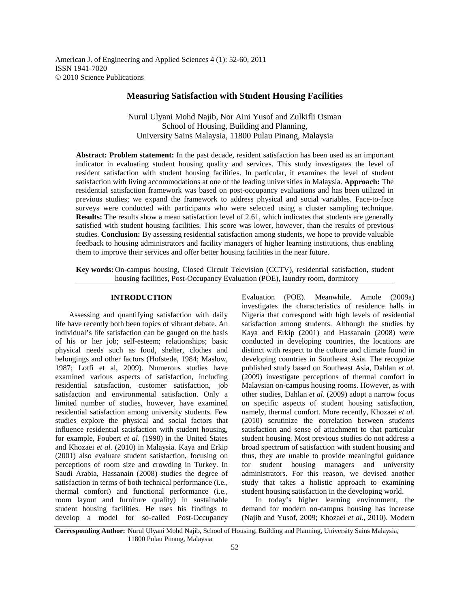American J. of Engineering and Applied Sciences 4 (1): 52-60, 2011 ISSN 1941-7020 © 2010 Science Publications

# **Measuring Satisfaction with Student Housing Facilities**

Nurul Ulyani Mohd Najib, Nor Aini Yusof and Zulkifli Osman School of Housing, Building and Planning, University Sains Malaysia, 11800 Pulau Pinang, Malaysia

**Abstract: Problem statement:** In the past decade, resident satisfaction has been used as an important indicator in evaluating student housing quality and services. This study investigates the level of resident satisfaction with student housing facilities. In particular, it examines the level of student satisfaction with living accommodations at one of the leading universities in Malaysia. **Approach:** The residential satisfaction framework was based on post-occupancy evaluations and has been utilized in previous studies; we expand the framework to address physical and social variables. Face-to-face surveys were conducted with participants who were selected using a cluster sampling technique. **Results:** The results show a mean satisfaction level of 2.61, which indicates that students are generally satisfied with student housing facilities. This score was lower, however, than the results of previous studies. **Conclusion:** By assessing residential satisfaction among students, we hope to provide valuable feedback to housing administrators and facility managers of higher learning institutions, thus enabling them to improve their services and offer better housing facilities in the near future.

**Key words:** On-campus housing, Closed Circuit Television (CCTV), residential satisfaction, student housing facilities, Post-Occupancy Evaluation (POE), laundry room, dormitory

### **INTRODUCTION**

 Assessing and quantifying satisfaction with daily life have recently both been topics of vibrant debate. An individual's life satisfaction can be gauged on the basis of his or her job; self-esteem; relationships; basic physical needs such as food, shelter, clothes and belongings and other factors (Hofstede, 1984; Maslow, 1987; Lotfi et al, 2009). Numerous studies have examined various aspects of satisfaction, including residential satisfaction, customer satisfaction, job satisfaction and environmental satisfaction. Only a limited number of studies, however, have examined residential satisfaction among university students. Few studies explore the physical and social factors that influence residential satisfaction with student housing, for example, Foubert *et al.* (1998) in the United States and Khozaei *et al.* (2010) in Malaysia. Kaya and Erkip (2001) also evaluate student satisfaction, focusing on perceptions of room size and crowding in Turkey. In Saudi Arabia, Hassanain (2008) studies the degree of satisfaction in terms of both technical performance (i.e., thermal comfort) and functional performance (i.e., room layout and furniture quality) in sustainable student housing facilities. He uses his findings to develop a model for so-called Post-Occupancy

Evaluation (POE). Meanwhile, Amole (2009a) investigates the characteristics of residence halls in Nigeria that correspond with high levels of residential satisfaction among students. Although the studies by Kaya and Erkip (2001) and Hassanain (2008) were conducted in developing countries, the locations are distinct with respect to the culture and climate found in developing countries in Southeast Asia. The recognize published study based on Southeast Asia, Dahlan *et al.* (2009) investigate perceptions of thermal comfort in Malaysian on-campus housing rooms. However, as with other studies, Dahlan *et al*. (2009) adopt a narrow focus on specific aspects of student housing satisfaction, namely, thermal comfort. More recently, Khozaei *et al.* (2010) scrutinize the correlation between students satisfaction and sense of attachment to that particular student housing. Most previous studies do not address a broad spectrum of satisfaction with student housing and thus, they are unable to provide meaningful guidance for student housing managers and university administrators. For this reason, we devised another study that takes a holistic approach to examining student housing satisfaction in the developing world.

 In today's higher learning environment, the demand for modern on-campus housing has increase (Najib and Yusof, 2009; Khozaei *et al.*, 2010). Modern

**Corresponding Author:** Nurul Ulyani Mohd Najib, School of Housing, Building and Planning, University Sains Malaysia, 11800 Pulau Pinang, Malaysia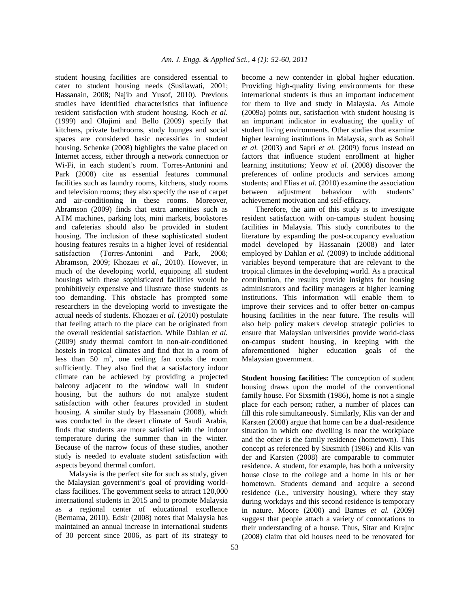student housing facilities are considered essential to cater to student housing needs (Susilawati, 2001; Hassanain, 2008; Najib and Yusof, 2010). Previous studies have identified characteristics that influence resident satisfaction with student housing. Koch *et al.* (1999) and Olujimi and Bello (2009) specify that kitchens, private bathrooms, study lounges and social spaces are considered basic necessities in student housing. Schenke (2008) highlights the value placed on Internet access, either through a network connection or Wi-Fi, in each student's room. Torres-Antonini and Park (2008) cite as essential features communal facilities such as laundry rooms, kitchens, study rooms and television rooms; they also specify the use of carpet and air-conditioning in these rooms. Moreover, Abramson (2009) finds that extra amenities such as ATM machines, parking lots, mini markets, bookstores and cafeterias should also be provided in student housing. The inclusion of these sophisticated student housing features results in a higher level of residential satisfaction (Torres-Antonini and Park, 2008; Abramson, 2009; Khozaei *et al.*, 2010). However, in much of the developing world, equipping all student housings with these sophisticated facilities would be prohibitively expensive and illustrate those students as too demanding. This obstacle has prompted some researchers in the developing world to investigate the actual needs of students. Khozaei *et al.* (2010) postulate that feeling attach to the place can be originated from the overall residential satisfaction. While Dahlan *et al.* (2009) study thermal comfort in non-air-conditioned hostels in tropical climates and find that in a room of less than  $50 \text{ m}^3$ , one ceiling fan cools the room sufficiently. They also find that a satisfactory indoor climate can be achieved by providing a projected balcony adjacent to the window wall in student housing, but the authors do not analyze student satisfaction with other features provided in student housing. A similar study by Hassanain (2008), which was conducted in the desert climate of Saudi Arabia, finds that students are more satisfied with the indoor temperature during the summer than in the winter. Because of the narrow focus of these studies, another study is needed to evaluate student satisfaction with aspects beyond thermal comfort.

 Malaysia is the perfect site for such as study, given the Malaysian government's goal of providing worldclass facilities. The government seeks to attract 120,000 international students in 2015 and to promote Malaysia as a regional center of educational excellence (Bernama, 2010). Edsir (2008) notes that Malaysia has maintained an annual increase in international students of 30 percent since 2006, as part of its strategy to become a new contender in global higher education. Providing high-quality living environments for these international students is thus an important inducement for them to live and study in Malaysia. As Amole (2009a) points out, satisfaction with student housing is an important indicator in evaluating the quality of student living environments. Other studies that examine higher learning institutions in Malaysia, such as Sohail *et al.* (2003) and Sapri *et al.* (2009) focus instead on factors that influence student enrollment at higher learning institutions; Yeow *et al.* (2008) discover the preferences of online products and services among students; and Elias *et al.* (2010) examine the association between adjustment behaviour with students' achievement motivation and self-efficacy.

 Therefore, the aim of this study is to investigate resident satisfaction with on-campus student housing facilities in Malaysia. This study contributes to the literature by expanding the post-occupancy evaluation model developed by Hassanain (2008) and later employed by Dahlan *et al.* (2009) to include additional variables beyond temperature that are relevant to the tropical climates in the developing world. As a practical contribution, the results provide insights for housing administrators and facility managers at higher learning institutions. This information will enable them to improve their services and to offer better on-campus housing facilities in the near future. The results will also help policy makers develop strategic policies to ensure that Malaysian universities provide world-class on-campus student housing, in keeping with the aforementioned higher education goals of the Malaysian government.

**Student housing facilities:** The conception of student housing draws upon the model of the conventional family house. For Sixsmith (1986), home is not a single place for each person; rather, a number of places can fill this role simultaneously. Similarly, Klis van der and Karsten (2008) argue that home can be a dual-residence situation in which one dwelling is near the workplace and the other is the family residence (hometown). This concept as referenced by Sixsmith (1986) and Klis van der and Karsten (2008) are comparable to commuter residence. A student, for example, has both a university house close to the college and a home in his or her hometown. Students demand and acquire a second residence (i.e., university housing), where they stay during workdays and this second residence is temporary in nature. Moore (2000) and Barnes *et al.* (2009) suggest that people attach a variety of connotations to their understanding of a house. Thus, Sitar and Krajnc (2008) claim that old houses need to be renovated for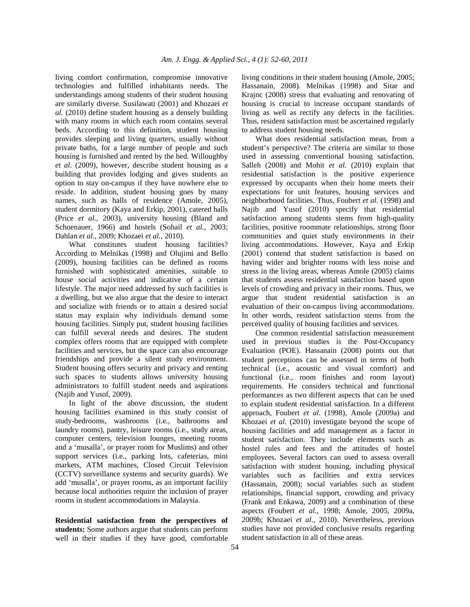living comfort confirmation, compromise innovative technologies and fulfilled inhabitants needs. The understandings among students of their student housing are similarly diverse. Susilawati (2001) and Khozaei *et al.* (2010) define student housing as a densely building with many rooms in which each room contains several beds. According to this definition, student housing provides sleeping and living quarters, usually without private baths, for a large number of people and such housing is furnished and rented by the bed. Willoughby *et al*. (2009), however, describe student housing as a building that provides lodging and gives students an option to stay on-campus if they have nowhere else to reside. In addition, student housing goes by many names, such as halls of residence (Amole, 2005), student dormitory (Kaya and Erkip, 2001), catered halls (Price *et al.*, 2003), university housing (Bland and Schoenauer, 1966) and hostels (Sohail et al., 2003; Dahlan *et al.*, 2009; Khozaei *et al.*, 2010).

What constitutes student housing facilities? According to Melnikas (1998) and Olujimi and Bello (2009), housing facilities can be defined as rooms furnished with sophisticated amenities, suitable to house social activities and indicative of a certain lifestyle. The major need addressed by such facilities is a dwelling, but we also argue that the desire to interact and socialize with friends or to attain a desired social status may explain why individuals demand some housing facilities. Simply put, student housing facilities can fulfill several needs and desires. The student complex offers rooms that are equipped with complete facilities and services, but the space can also encourage friendships and provide a silent study environment. Student housing offers security and privacy and renting such spaces to students allows university housing administrators to fulfill student needs and aspirations (Najib and Yusof, 2009).

 In light of the above discussion, the student housing facilities examined in this study consist of study-bedrooms, washrooms (i.e., bathrooms and laundry rooms), pantry, leisure rooms (i.e., study areas, computer centers, television lounges, meeting rooms and a 'musalla', or prayer room for Muslims) and other support services (i.e., parking lots, cafeterias, mini markets, ATM machines, Closed Circuit Television (CCTV) surveillance systems and security guards). We add 'musalla', or prayer rooms, as an important facility because local authorities require the inclusion of prayer rooms in student accommodations in Malaysia.

**Residential satisfaction from the perspectives of students:** Some authors argue that students can perform well in their studies if they have good, comfortable living conditions in their student housing (Amole, 2005; Hassanain, 2008). Melnikas (1998) and Sitar and Krajnc (2008) stress that evaluating and renovating of housing is crucial to increase occupant standards of living as well as rectify any defects in the facilities. Thus, resident satisfaction must be ascertained regularly to address student housing needs.

 What does residential satisfaction mean, from a student's perspective? The criteria are similar to those used in assessing conventional housing satisfaction. Salleh (2008) and Mohit *et al.* (2010) explain that residential satisfaction is the positive experience expressed by occupants when their home meets their expectations for unit features, housing services and neighborhood facilities. Thus, Foubert *et al.* (1998) and Najib and Yusof (2010) specify that residential satisfaction among students stems from high-quality facilities, positive roommate relationships, strong floor communities and quiet study environments in their living accommodations. However, Kaya and Erkip (2001) contend that student satisfaction is based on having wider and brighter rooms with less noise and stress in the living areas, whereas Amole (2005) claims that students assess residential satisfaction based upon levels of crowding and privacy in their rooms. Thus, we argue that student residential satisfaction is an evaluation of their on-campus living accommodations. In other words, resident satisfaction stems from the perceived quality of housing facilities and services.

 One common residential satisfaction measurement used in previous studies is the Post-Occupancy Evaluation (POE). Hassanain (2008) points out that student perceptions can be assessed in terms of both technical (i.e., acoustic and visual comfort) and functional (i.e., room finishes and room layout) requirements. He considers technical and functional performances as two different aspects that can be used to explain student residential satisfaction. In a different approach, Foubert *et al*. (1998), Amole (2009a) and Khozaei *et al.* (2010) investigate beyond the scope of housing facilities and add management as a factor in student satisfaction. They include elements such as hostel rules and fees and the attitudes of hostel employees. Several factors can used to assess overall satisfaction with student housing, including physical variables such as facilities and extra services (Hassanain, 2008); social variables such as student relationships, financial support, crowding and privacy (Frank and Enkawa, 2009) and a combination of these aspects (Foubert *et al.*, 1998; Amole, 2005, 2009a, 2009b; Khozaei *et al.*, 2010). Nevertheless, previous studies have not provided conclusive results regarding student satisfaction in all of these areas.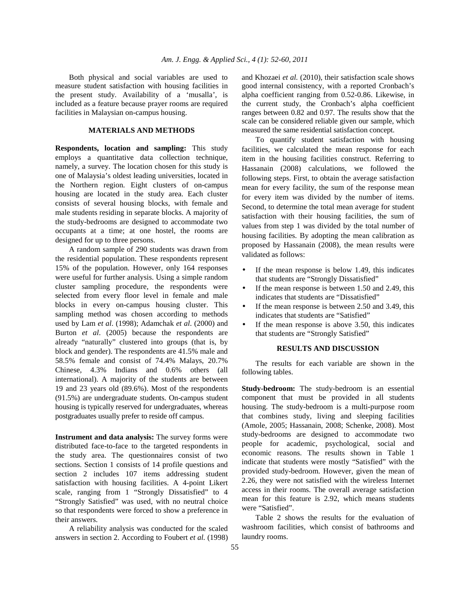Both physical and social variables are used to measure student satisfaction with housing facilities in the present study. Availability of a 'musalla', is included as a feature because prayer rooms are required facilities in Malaysian on-campus housing.

## **MATERIALS AND METHODS**

**Respondents, location and sampling:** This study employs a quantitative data collection technique, namely, a survey. The location chosen for this study is one of Malaysia's oldest leading universities, located in the Northern region. Eight clusters of on-campus housing are located in the study area. Each cluster consists of several housing blocks, with female and male students residing in separate blocks. A majority of the study-bedrooms are designed to accommodate two occupants at a time; at one hostel, the rooms are designed for up to three persons.

 A random sample of 290 students was drawn from the residential population. These respondents represent 15% of the population. However, only 164 responses were useful for further analysis. Using a simple random cluster sampling procedure, the respondents were selected from every floor level in female and male blocks in every on-campus housing cluster. This sampling method was chosen according to methods used by Lam *et al*. (1998); Adamchak *et al*. (2000) and Burton *et al*. (2005) because the respondents are already "naturally" clustered into groups (that is, by block and gender). The respondents are 41.5% male and 58.5% female and consist of 74.4% Malays, 20.7% Chinese, 4.3% Indians and 0.6% others (all international). A majority of the students are between 19 and 23 years old (89.6%). Most of the respondents (91.5%) are undergraduate students. On-campus student housing is typically reserved for undergraduates, whereas postgraduates usually prefer to reside off campus.

**Instrument and data analysis:** The survey forms were distributed face-to-face to the targeted respondents in the study area. The questionnaires consist of two sections. Section 1 consists of 14 profile questions and section 2 includes 107 items addressing student satisfaction with housing facilities. A 4-point Likert scale, ranging from 1 "Strongly Dissatisfied" to 4 "Strongly Satisfied" was used, with no neutral choice so that respondents were forced to show a preference in their answers.

 A reliability analysis was conducted for the scaled answers in section 2. According to Foubert *et al.* (1998) and Khozaei *et al.* (2010), their satisfaction scale shows good internal consistency, with a reported Cronbach's alpha coefficient ranging from 0.52-0.86. Likewise, in the current study, the Cronbach's alpha coefficient ranges between 0.82 and 0.97. The results show that the scale can be considered reliable given our sample, which measured the same residential satisfaction concept.

 To quantify student satisfaction with housing facilities, we calculated the mean response for each item in the housing facilities construct. Referring to Hassanain (2008) calculations, we followed the following steps. First, to obtain the average satisfaction mean for every facility, the sum of the response mean for every item was divided by the number of items. Second, to determine the total mean average for student satisfaction with their housing facilities, the sum of values from step 1 was divided by the total number of housing facilities. By adopting the mean calibration as proposed by Hassanain (2008), the mean results were validated as follows:

- If the mean response is below 1.49, this indicates that students are "Strongly Dissatisfied"
- If the mean response is between  $1.50$  and  $2.49$ , this indicates that students are "Dissatisfied"
- If the mean response is between  $2.50$  and  $3.49$ , this indicates that students are "Satisfied"
- If the mean response is above 3.50, this indicates that students are "Strongly Satisfied"

### **RESULTS AND DISCUSSION**

 The results for each variable are shown in the following tables.

**Study-bedroom:** The study-bedroom is an essential component that must be provided in all students housing. The study-bedroom is a multi-purpose room that combines study, living and sleeping facilities (Amole, 2005; Hassanain, 2008; Schenke, 2008). Most study-bedrooms are designed to accommodate two people for academic, psychological, social and economic reasons. The results shown in Table 1 indicate that students were mostly "Satisfied" with the provided study-bedroom. However, given the mean of 2.26, they were not satisfied with the wireless Internet access in their rooms. The overall average satisfaction mean for this feature is 2.92, which means students were "Satisfied".

Table 2 shows the results for the evaluation of washroom facilities, which consist of bathrooms and laundry rooms.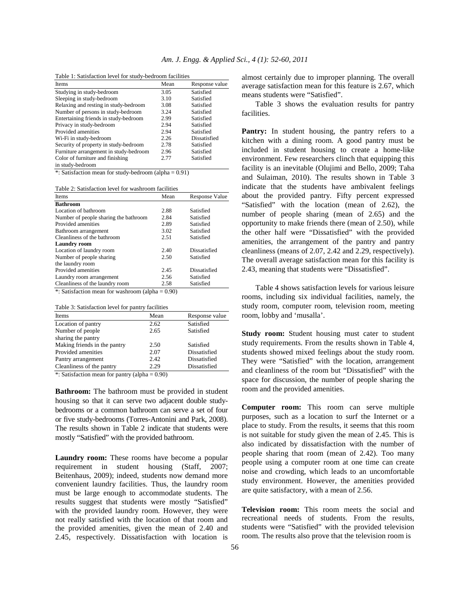| Table 1. Satisfaction level for study-bedroom facilities |      |                |
|----------------------------------------------------------|------|----------------|
| Items                                                    | Mean | Response value |
| Studying in study-bedroom                                | 3.05 | Satisfied      |
| Sleeping in study-bedroom                                | 3.10 | Satisfied      |
| Relaxing and resting in study-bedroom                    | 3.08 | Satisfied      |
| Number of persons in study-bedroom                       | 3.24 | Satisfied      |
| Entertaining friends in study-bedroom                    | 2.99 | Satisfied      |
| Privacy in study-bedroom                                 | 2.94 | Satisfied      |
| Provided amenities                                       | 2.94 | Satisfied      |
| Wi-Fi in study-bedroom                                   | 2.26 | Dissatisfied   |
| Security of property in study-bedroom                    | 2.78 | Satisfied      |
| Furniture arrangement in study-bedroom                   | 2.96 | Satisfied      |
| Color of furniture and finishing                         | 2.77 | Satisfied      |

Table 1: Satisfaction level for study-bedroom facilities

Table 2: Satisfaction level for washroom facilities

\*: Satisfaction mean for study-bedroom (alpha = 0.91)

in study-bedroom

| Tavit 2. Sausiacuoli level toi washtooni fachitles |      |                       |  |
|----------------------------------------------------|------|-----------------------|--|
| <b>Items</b>                                       | Mean | <b>Response Value</b> |  |
| <b>Bathroom</b>                                    |      |                       |  |
| Location of bathroom                               | 2.88 | Satisfied             |  |
| Number of people sharing the bathroom              | 2.84 | Satisfied             |  |
| Provided amenities                                 | 2.89 | Satisfied             |  |
| Bathroom arrangement                               | 3.02 | Satisfied             |  |
| Cleanliness of the bathroom                        | 2.51 | Satisfied             |  |
| <b>Laundry room</b>                                |      |                       |  |
| Location of laundry room                           | 2.40 | Dissatisfied          |  |
| Number of people sharing                           | 2.50 | Satisfied             |  |
| the laundry room                                   |      |                       |  |
| Provided amenities                                 | 2.45 | Dissatisfied          |  |
| Laundry room arrangement                           | 2.56 | Satisfied             |  |
| Cleanliness of the laundry room                    | 2.58 | Satisfied             |  |

\*: Satisfaction mean for washroom (alpha = 0.90)

Table 3: Satisfaction level for pantry facilities

| <b>Items</b>                 | Mean | Response value |
|------------------------------|------|----------------|
| Location of pantry           | 2.62 | Satisfied      |
| Number of people             | 2.65 | Satisfied      |
| sharing the pantry           |      |                |
| Making friends in the pantry | 2.50 | Satisfied      |
| Provided amenities           | 2.07 | Dissatisfied   |
| Pantry arrangement           | 2.42 | Dissatisfied   |
| Cleanliness of the pantry    | 2.29 | Dissatisfied   |
|                              |      |                |

\*: Satisfaction mean for pantry (alpha = 0.90)

**Bathroom:** The bathroom must be provided in student housing so that it can serve two adjacent double studybedrooms or a common bathroom can serve a set of four or five study-bedrooms (Torres-Antonini and Park, 2008). The results shown in Table 2 indicate that students were mostly "Satisfied" with the provided bathroom.

**Laundry room:** These rooms have become a popular requirement in student housing (Staff, 2007; Beitenhaus, 2009); indeed, students now demand more convenient laundry facilities. Thus, the laundry room must be large enough to accommodate students. The results suggest that students were mostly "Satisfied" with the provided laundry room. However, they were not really satisfied with the location of that room and the provided amenities, given the mean of 2.40 and 2.45, respectively. Dissatisfaction with location is

almost certainly due to improper planning. The overall average satisfaction mean for this feature is 2.67, which means students were "Satisfied".

 Table 3 shows the evaluation results for pantry facilities.

Pantry: In student housing, the pantry refers to a kitchen with a dining room. A good pantry must be included in student housing to create a home-like environment. Few researchers clinch that equipping this facility is an inevitable (Olujimi and Bello, 2009; Taha and Sulaiman, 2010). The results shown in Table 3 indicate that the students have ambivalent feelings about the provided pantry. Fifty percent expressed "Satisfied" with the location (mean of 2.62), the number of people sharing (mean of 2.65) and the opportunity to make friends there (mean of 2.50), while the other half were "Dissatisfied" with the provided amenities, the arrangement of the pantry and pantry cleanliness (means of 2.07, 2.42 and 2.29, respectively). The overall average satisfaction mean for this facility is 2.43, meaning that students were "Dissatisfied".

 Table 4 shows satisfaction levels for various leisure rooms, including six individual facilities, namely, the study room, computer room, television room, meeting room, lobby and 'musalla'.

**Study room:** Student housing must cater to student study requirements. From the results shown in Table 4, students showed mixed feelings about the study room. They were "Satisfied" with the location, arrangement and cleanliness of the room but "Dissatisfied" with the space for discussion, the number of people sharing the room and the provided amenities.

**Computer room:** This room can serve multiple purposes, such as a location to surf the Internet or a place to study. From the results, it seems that this room is not suitable for study given the mean of 2.45. This is also indicated by dissatisfaction with the number of people sharing that room (mean of 2.42). Too many people using a computer room at one time can create noise and crowding, which leads to an uncomfortable study environment. However, the amenities provided are quite satisfactory, with a mean of 2.56.

**Television room:** This room meets the social and recreational needs of students. From the results, students were "Satisfied" with the provided television room. The results also prove that the television room is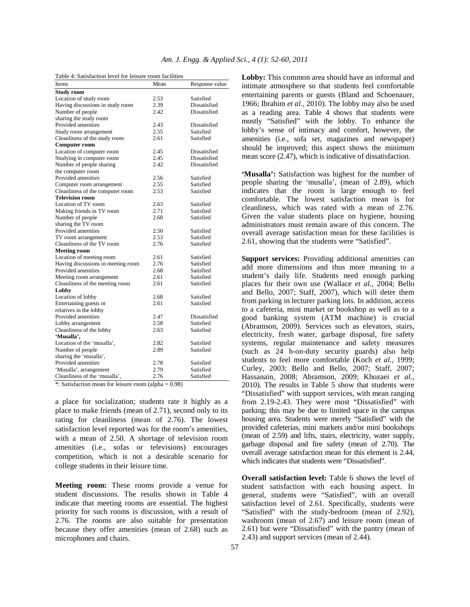| Table 4: Satisfaction level for leisure room facilities |      |                |  |
|---------------------------------------------------------|------|----------------|--|
| Items                                                   | Mean | Response value |  |
| <b>Study room</b>                                       |      |                |  |
| Location of study room                                  | 2.53 | Satisfied      |  |
| Having discussions in study room                        | 2.39 | Dissatisfied   |  |
| Number of people                                        | 2.42 | Dissatisfied   |  |
| sharing the study room                                  |      |                |  |
| Provided amenities                                      | 2.43 | Dissatisfied   |  |
| Study room arrangement                                  | 2.55 | Satisfied      |  |
| Cleanliness of the study room                           | 2.61 | Satisfied      |  |
| <b>Computer room</b>                                    |      |                |  |
| Location of computer room                               | 2.45 | Dissatisfied   |  |
| Studying in computer room                               | 2.45 | Dissatisfied   |  |
| Number of people sharing                                | 2.42 | Dissatisfied   |  |
| the computer room                                       |      |                |  |
| Provided amenities                                      | 2.56 | Satisfied      |  |
| Computer room arrangement                               | 2.55 | Satisfied      |  |
| Cleanliness of the computer room                        | 2.53 | Satisfied      |  |
| <b>Television room</b>                                  |      |                |  |
| Location of TV room                                     | 2.63 | Satisfied      |  |
| Making friends in TV room                               | 2.71 | Satisfied      |  |
| Number of people                                        | 2.68 | Satisfied      |  |
| sharing the TV room                                     |      |                |  |
| Provided amenities                                      | 2.50 | Satisfied      |  |
| TV room arrangement                                     | 2.53 | Satisfied      |  |
| Cleanliness of the TV room                              | 2.76 | Satisfied      |  |
| <b>Meeting room</b>                                     |      |                |  |
| Location of meeting room                                | 2.61 | Satisfied      |  |
| Having discussions in meeting room                      | 2.76 | Satisfied      |  |
| Provided amenities                                      | 2.68 | Satisfied      |  |
| Meeting room arrangement                                | 2.61 | Satisfied      |  |
| Cleanliness of the meeting room                         | 2.61 | Satisfied      |  |
| Lobby                                                   |      |                |  |
| Location of lobby                                       | 2.68 | Satisfied      |  |
| Entertaining guests or                                  | 2.61 | Satisfied      |  |
| relatives in the lobby                                  |      |                |  |
| Provided amenities                                      | 2.47 | Dissatisfied   |  |
| Lobby arrangement                                       | 2.58 | Satisfied      |  |
| Cleanliness of the lobby                                | 2.63 | Satisfied      |  |
| 'Musalla',                                              |      |                |  |
| Location of the 'musalla',                              | 2.82 | Satisfied      |  |
| Number of people                                        | 2.89 | Satisfied      |  |
| sharing the 'musalla',                                  |      |                |  |
| Provided amenities                                      | 2.78 | Satisfied      |  |
| 'Musalla', arrangement                                  | 2.79 | Satisfied      |  |
| Cleanliness of the 'musalla',                           | 2.76 | Satisfied      |  |

\*: Satisfaction mean for leisure room (alpha = 0.98)

a place for socialization; students rate it highly as a place to make friends (mean of 2.71), second only to its rating for cleanliness (mean of 2.76). The lowest satisfaction level reported was for the room's amenities, with a mean of 2.50. A shortage of television room amenities (i.e., sofas or televisions) encourages competition, which is not a desirable scenario for college students in their leisure time.

**Meeting room:** These rooms provide a venue for student discussions. The results shown in Table 4 indicate that meeting rooms are essential. The highest priority for such rooms is discussion, with a result of 2.76. The rooms are also suitable for presentation because they offer amenities (mean of 2.68) such as microphones and chairs.

**Lobby:** This common area should have an informal and intimate atmosphere so that students feel comfortable entertaining parents or guests (Bland and Schoenauer, 1966; Ibrahim *et al.*, 2010). The lobby may also be used as a reading area. Table 4 shows that students were mostly "Satisfied" with the lobby. To enhance the lobby's sense of intimacy and comfort, however, the amenities (i.e., sofa set, magazines and newspaper) should be improved; this aspect shows the minimum mean score (2.47), which is indicative of dissatisfaction.

**'Musalla':** Satisfaction was highest for the number of people sharing the 'musalla', (mean of 2.89), which indicates that the room is large enough to feel comfortable. The lowest satisfaction mean is for cleanliness, which was rated with a mean of 2.76. Given the value students place on hygiene, housing administrators must remain aware of this concern. The overall average satisfaction mean for these facilities is 2.61, showing that the students were "Satisfied".

**Support services:** Providing additional amenities can add more dimensions and thus more meaning to a student's daily life. Students need enough parking places for their own use (Wallace *et al.*, 2004; Bello and Bello, 2007; Staff, 2007), which will deter them from parking in lecturer parking lots. In addition, access to a cafeteria, mini market or bookshop as well as to a good banking system (ATM machine) is crucial (Abramson, 2009). Services such as elevators, stairs, electricity, fresh water, garbage disposal, fire safety systems, regular maintenance and safety measures (such as 24 h-on-duty security guards) also help students to feel more comfortable (Koch *et al.*, 1999; Curley, 2003; Bello and Bello, 2007; Staff, 2007; Hassanain, 2008; Abramson, 2009; Khozaei *et al.*, 2010). The results in Table 5 show that students were "Dissatisfied" with support services, with mean ranging from 2.19-2.43. They were most "Dissatisfied" with parking; this may be due to limited space in the campus housing area. Students were merely "Satisfied" with the provided cafeterias, mini markets and/or mini bookshops (mean of 2.59) and lifts, stairs, electricity, water supply, garbage disposal and fire safety (mean of 2.70). The overall average satisfaction mean for this element is 2.44, which indicates that students were "Dissatisfied".

**Overall satisfaction level:** Table 6 shows the level of student satisfaction with each housing aspect. In general, students were "Satisfied", with an overall satisfaction level of 2.61. Specifically, students were "Satisfied" with the study-bedroom (mean of 2.92), washroom (mean of 2.67) and leisure room (mean of 2.61) but were "Dissatisfied" with the pantry (mean of 2.43) and support services (mean of 2.44).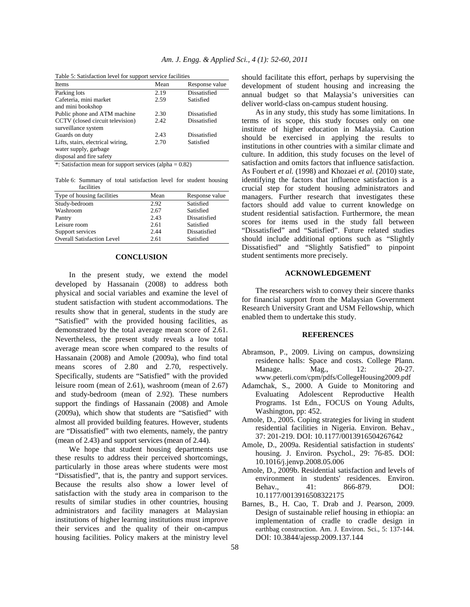| <b>Items</b>                      | Mean | Response value |
|-----------------------------------|------|----------------|
| Parking lots                      | 2.19 | Dissatisfied   |
| Cafeteria, mini market            | 2.59 | Satisfied      |
| and mini bookshop                 |      |                |
| Public phone and ATM machine      | 2.30 | Dissatisfied   |
| CCTV (closed circuit television)  | 2.42 | Dissatisfied   |
| surveillance system               |      |                |
| Guards on duty                    | 2.43 | Dissatisfied   |
| Lifts, stairs, electrical wiring, | 2.70 | Satisfied      |
| water supply, garbage             |      |                |
| disposal and fire safety          |      |                |

Table 5: Satisfaction level for support service facilities

\*: Satisfaction mean for support services (alpha  $= 0.82$ )

Table 6: Summary of total satisfaction level for student housing facilities

| Type of housing facilities        | Mean | Response value |
|-----------------------------------|------|----------------|
| Study-bedroom                     | 2.92 | Satisfied      |
| Washroom                          | 2.67 | Satisfied      |
| Pantry                            | 2.43 | Dissatisfied   |
| Leisure room                      | 2.61 | Satisfied      |
| Support services                  | 2.44 | Dissatisfied   |
| <b>Overall Satisfaction Level</b> | 2.61 | Satisfied      |

## **CONCLUSION**

 In the present study, we extend the model developed by Hassanain (2008) to address both physical and social variables and examine the level of student satisfaction with student accommodations. The results show that in general, students in the study are "Satisfied" with the provided housing facilities, as demonstrated by the total average mean score of 2.61. Nevertheless, the present study reveals a low total average mean score when compared to the results of Hassanain (2008) and Amole (2009a), who find total means scores of 2.80 and 2.70, respectively. Specifically, students are "Satisfied" with the provided leisure room (mean of 2.61), washroom (mean of 2.67) and study-bedroom (mean of 2.92). These numbers support the findings of Hassanain (2008) and Amole (2009a), which show that students are "Satisfied" with almost all provided building features. However, students are "Dissatisfied" with two elements, namely, the pantry (mean of 2.43) and support services (mean of 2.44).

 We hope that student housing departments use these results to address their perceived shortcomings, particularly in those areas where students were most "Dissatisfied", that is, the pantry and support services. Because the results also show a lower level of satisfaction with the study area in comparison to the results of similar studies in other countries, housing administrators and facility managers at Malaysian institutions of higher learning institutions must improve their services and the quality of their on-campus housing facilities. Policy makers at the ministry level

should facilitate this effort, perhaps by supervising the development of student housing and increasing the annual budget so that Malaysia's universities can deliver world-class on-campus student housing.

 As in any study, this study has some limitations. In terms of its scope, this study focuses only on one institute of higher education in Malaysia. Caution should be exercised in applying the results to institutions in other countries with a similar climate and culture. In addition, this study focuses on the level of satisfaction and omits factors that influence satisfaction. As Foubert *et al.* (1998) and Khozaei *et al.* (2010) state, identifying the factors that influence satisfaction is a crucial step for student housing administrators and managers. Further research that investigates these factors should add value to current knowledge on student residential satisfaction. Furthermore, the mean scores for items used in the study fall between "Dissatisfied" and "Satisfied". Future related studies should include additional options such as "Slightly Dissatisfied" and "Slightly Satisfied" to pinpoint student sentiments more precisely.

## **ACKNOWLEDGEMENT**

 The researchers wish to convey their sincere thanks for financial support from the Malaysian Government Research University Grant and USM Fellowship, which enabled them to undertake this study.

#### **REFERENCES**

- Abramson, P., 2009. Living on campus, downsizing residence halls: Space and costs. College Plann. Manage. Mag., 12: 20-27. www.peterli.com/cpm/pdfs/CollegeHousing2009.pdf
- Adamchak, S., 2000. A Guide to Monitoring and Evaluating Adolescent Reproductive Health Programs. 1st Edn., FOCUS on Young Adults, Washington, pp: 452.
- Amole, D., 2005. Coping strategies for living in student residential facilities in Nigeria. Environ. Behav., 37: 201-219. DOI: 10.1177/0013916504267642
- Amole, D., 2009a. Residential satisfaction in students' housing. J. Environ. Psychol., 29: 76-85. DOI: 10.1016/j.jenvp.2008.05.006
- Amole, D., 2009b. Residential satisfaction and levels of environment in students' residences. Environ. Behav., 41: 866-879. DOI: 10.1177/0013916508322175
- Barnes, B., H. Cao, T. Drab and J. Pearson, 2009. Design of sustainable relief housing in ethiopia: an implementation of cradle to cradle design in earthbag construction. Am. J. Environ. Sci., 5: 137-144. DOI: 10.3844/ajessp.2009.137.144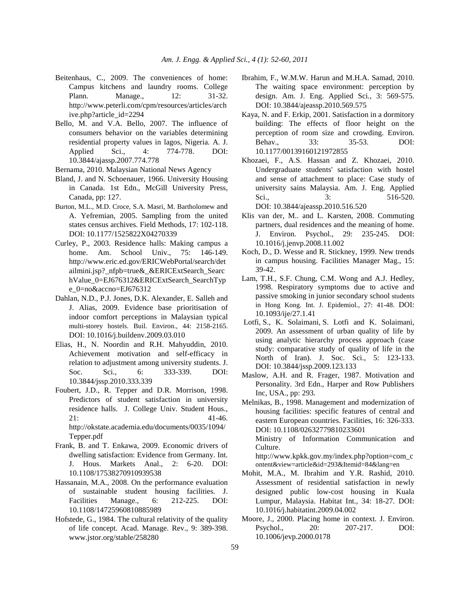- Beitenhaus, C., 2009. The conveniences of home: Campus kitchens and laundry rooms. College Plann. Manage., 12: 31-32. http://www.peterli.com/cpm/resources/articles/arch ive.php?article\_id=2294
- Bello, M. and V.A. Bello, 2007. The influence of consumers behavior on the variables determining residential property values in lagos, Nigeria. A. J. Applied Sci., 4: 774-778. DOI: 10.3844/ajassp.2007.774.778
- Bernama, 2010. Malaysian National News Agency
- Bland, J. and N. Schoenauer, 1966. University Housing in Canada. 1st Edn., McGill University Press, Canada, pp: 127.
- Burton, M.L., M.D. Croce, S.A. Masri, M. Bartholomew and A. Yefremian, 2005. Sampling from the united states census archives. Field Methods, 17: 102-118. DOI: 10.1177/1525822X04270339
- Curley, P., 2003. Residence halls: Making campus a home. Am. School Univ., 75: 146-149. http://www.eric.ed.gov/ERICWebPortal/search/det ailmini.jsp?\_nfpb=true&\_&ERICExtSearch\_Searc hValue\_0=EJ676312&ERICExtSearch\_SearchTyp e\_0=no&accno=EJ676312
- Dahlan, N.D., P.J. Jones, D.K. Alexander, E. Salleh and J. Alias, 2009. Evidence base prioritisation of indoor comfort perceptions in Malaysian typical multi-storey hostels. Buil. Environ., 44: 2158-2165. DOI: 10.1016/j.buildenv.2009.03.010
- Elias, H., N. Noordin and R.H. Mahyuddin, 2010. Achievement motivation and self-efficacy in relation to adjustment among university students. J. Soc. Sci., 6: 333-339. DOI: 10.3844/jssp.2010.333.339
- Foubert, J.D., R. Tepper and D.R. Morrison, 1998. Predictors of student satisfaction in university residence halls. J. College Univ. Student Hous.,  $21:$  41-46. http://okstate.academia.edu/documents/0035/1094/ Tepper.pdf
- Frank, B. and T. Enkawa, 2009. Economic drivers of dwelling satisfaction: Evidence from Germany. Int. J. Hous. Markets Anal., 2: 6-20. DOI: 10.1108/17538270910939538
- Hassanain, M.A., 2008. On the performance evaluation of sustainable student housing facilities. J. Facilities Manage., 6: 212-225. DOI: 10.1108/14725960810885989
- Hofstede, G., 1984. The cultural relativity of the quality of life concept. Acad. Manage. Rev., 9: 389-398. www.jstor.org/stable/258280
- Ibrahim, F., W.M.W. Harun and M.H.A. Samad, 2010. The waiting space environment: perception by design. Am. J. Eng. Applied Sci., 3: 569-575. DOI: 10.3844/ajeassp.2010.569.575
- Kaya, N. and F. Erkip, 2001. Satisfaction in a dormitory building: The effects of floor height on the perception of room size and crowding. Environ. Behav., 33: 35-53. DOI: 10.1177/00139160121972855
- Khozaei, F., A.S. Hassan and Z. Khozaei, 2010. Undergraduate students' satisfaction with hostel and sense of attachment to place: Case study of university sains Malaysia. Am. J. Eng. Applied Sci., 3: 516-520. DOI: 10.3844/ajeassp.2010.516.520
- Klis van der, M.. and L. Karsten, 2008. Commuting partners, dual residences and the meaning of home. J. Environ. Psychol., 29: 235-245. DOI: 10.1016/j.jenvp.2008.11.002
- Koch, D., D. Wesse and R. Stickney, 1999. New trends in campus housing. Facilities Manager Mag., 15: 39-42.
- Lam, T.H., S.F. Chung, C.M. Wong and A.J. Hedley, 1998. Respiratory symptoms due to active and passive smoking in junior secondary school students in Hong Kong. Int. J. Epidemiol., 27: 41-48. DOI: 10.1093/ije/27.1.41
- Lotfi, S., K. Solaimani, S. Lotfi and K. Solaimani, 2009. An assessment of urban quality of life by using analytic hierarchy process approach (case study: comparative study of quality of life in the North of Iran). J. Soc. Sci., 5: 123-133. DOI: 10.3844/jssp.2009.123.133
- Maslow, A.H. and R. Frager, 1987. Motivation and Personality. 3rd Edn., Harper and Row Publishers Inc, USA., pp: 293.
- Melnikas, B., 1998. Management and modernization of housing facilities: specific features of central and eastern European countries. Facilities, 16: 326-333. DOI: 10.1108/02632779810233601 Ministry of Information Communication and Culture. http://www.kpkk.gov.my/index.php?option=com\_c

ontent&view=article&id=293&Itemid=84&lang=en

- Mohit, M.A., M. Ibrahim and Y.R. Rashid, 2010. Assessment of residential satisfaction in newly designed public low-cost housing in Kuala Lumpur, Malaysia. Habitat Int., 34: 18-27. DOI: 10.1016/j.habitatint.2009.04.002
- Moore, J., 2000. Placing home in context. J. Environ. Psychol., 20: 207-217. DOI: 10.1006/jevp.2000.0178